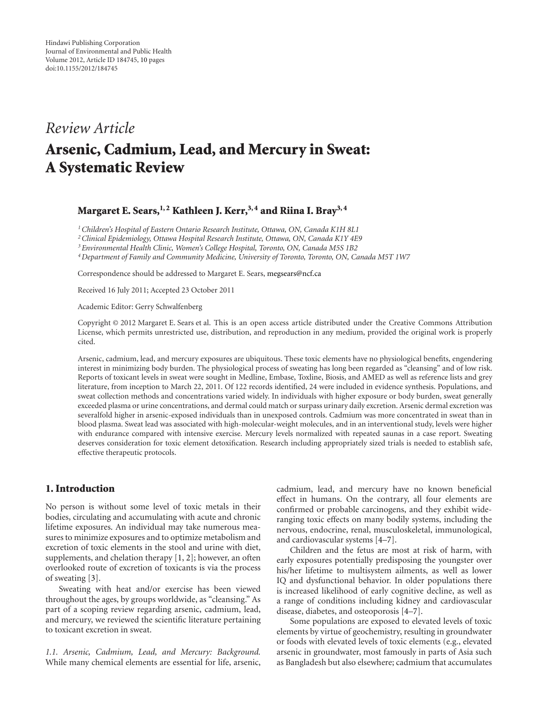# *Review Article*

# **Arsenic, Cadmium, Lead, and Mercury in Sweat: A Systematic Review**

# Margaret E. Sears,<sup>1,2</sup> Kathleen J. Kerr,<sup>3,4</sup> and Riina I. Bray<sup>3,4</sup>

*1Children's Hospital of Eastern Ontario Research Institute, Ottawa, ON, Canada K1H 8L1*

*2Clinical Epidemiology, Ottawa Hospital Research Institute, Ottawa, ON, Canada K1Y 4E9*

*3Environmental Health Clinic, Women's College Hospital, Toronto, ON, Canada M5S 1B2*

*4Department of Family and Community Medicine, University of Toronto, Toronto, ON, Canada M5T 1W7*

Correspondence should be addressed to Margaret E. Sears, [megsears@ncf.ca](mailto:megsears@ncf.ca)

Received 16 July 2011; Accepted 23 October 2011

Academic Editor: Gerry Schwalfenberg

Copyright © 2012 Margaret E. Sears et al. This is an open access article distributed under the Creative Commons Attribution License, which permits unrestricted use, distribution, and reproduction in any medium, provided the original work is properly cited.

Arsenic, cadmium, lead, and mercury exposures are ubiquitous. These toxic elements have no physiological benefits, engendering interest in minimizing body burden. The physiological process of sweating has long been regarded as "cleansing" and of low risk. Reports of toxicant levels in sweat were sought in Medline, Embase, Toxline, Biosis, and AMED as well as reference lists and grey literature, from inception to March 22, 2011. Of 122 records identified, 24 were included in evidence synthesis. Populations, and sweat collection methods and concentrations varied widely. In individuals with higher exposure or body burden, sweat generally exceeded plasma or urine concentrations, and dermal could match or surpass urinary daily excretion. Arsenic dermal excretion was severalfold higher in arsenic-exposed individuals than in unexposed controls. Cadmium was more concentrated in sweat than in blood plasma. Sweat lead was associated with high-molecular-weight molecules, and in an interventional study, levels were higher with endurance compared with intensive exercise. Mercury levels normalized with repeated saunas in a case report. Sweating deserves consideration for toxic element detoxification. Research including appropriately sized trials is needed to establish safe, effective therapeutic protocols.

## **1. Introduction**

No person is without some level of toxic metals in their bodies, circulating and accumulating with acute and chronic lifetime exposures. An individual may take numerous measures to minimize exposures and to optimize metabolism and excretion of toxic elements in the stool and urine with diet, supplements, and chelation therapy [\[1](#page-8-1), [2](#page-8-2)]; however, an often overlooked route of excretion of toxicants is via the process of sweating [\[3](#page-8-3)].

Sweating with heat and/or exercise has been viewed throughout the ages, by groups worldwide, as "cleansing." As part of a scoping review regarding arsenic, cadmium, lead, and mercury, we reviewed the scientific literature pertaining to toxicant excretion in sweat.

*1.1. Arsenic, Cadmium, Lead, and Mercury: Background.* While many chemical elements are essential for life, arsenic, cadmium, lead, and mercury have no known beneficial effect in humans. On the contrary, all four elements are confirmed or probable carcinogens, and they exhibit wideranging toxic effects on many bodily systems, including the nervous, endocrine, renal, musculoskeletal, immunological, and cardiovascular systems [\[4](#page-8-4)[–7\]](#page-8-5).

Children and the fetus are most at risk of harm, with early exposures potentially predisposing the youngster over his/her lifetime to multisystem ailments, as well as lower IQ and dysfunctional behavior. In older populations there is increased likelihood of early cognitive decline, as well as a range of conditions including kidney and cardiovascular disease, diabetes, and osteoporosis [\[4](#page-8-4)[–7\]](#page-8-5).

Some populations are exposed to elevated levels of toxic elements by virtue of geochemistry, resulting in groundwater or foods with elevated levels of toxic elements (e.g., elevated arsenic in groundwater, most famously in parts of Asia such as Bangladesh but also elsewhere; cadmium that accumulates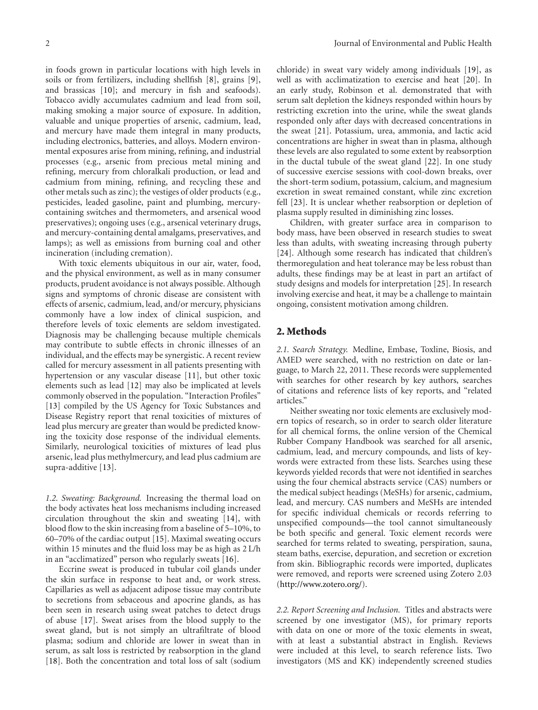in foods grown in particular locations with high levels in soils or from fertilizers, including shellfish [\[8](#page-8-6)], grains [\[9\]](#page-8-7), and brassicas [\[10](#page-8-8)]; and mercury in fish and seafoods). Tobacco avidly accumulates cadmium and lead from soil, making smoking a major source of exposure. In addition, valuable and unique properties of arsenic, cadmium, lead, and mercury have made them integral in many products, including electronics, batteries, and alloys. Modern environmental exposures arise from mining, refining, and industrial processes (e.g., arsenic from precious metal mining and refining, mercury from chloralkali production, or lead and cadmium from mining, refining, and recycling these and other metals such as zinc); the vestiges of older products (e.g., pesticides, leaded gasoline, paint and plumbing, mercurycontaining switches and thermometers, and arsenical wood preservatives); ongoing uses (e.g., arsenical veterinary drugs, and mercury-containing dental amalgams, preservatives, and lamps); as well as emissions from burning coal and other incineration (including cremation).

With toxic elements ubiquitous in our air, water, food, and the physical environment, as well as in many consumer products, prudent avoidance is not always possible. Although signs and symptoms of chronic disease are consistent with effects of arsenic, cadmium, lead, and/or mercury, physicians commonly have a low index of clinical suspicion, and therefore levels of toxic elements are seldom investigated. Diagnosis may be challenging because multiple chemicals may contribute to subtle effects in chronic illnesses of an individual, and the effects may be synergistic. A recent review called for mercury assessment in all patients presenting with hypertension or any vascular disease [\[11\]](#page-8-9), but other toxic elements such as lead [\[12\]](#page-8-10) may also be implicated at levels commonly observed in the population. "Interaction Profiles" [\[13\]](#page-8-11) compiled by the US Agency for Toxic Substances and Disease Registry report that renal toxicities of mixtures of lead plus mercury are greater than would be predicted knowing the toxicity dose response of the individual elements. Similarly, neurological toxicities of mixtures of lead plus arsenic, lead plus methylmercury, and lead plus cadmium are supra-additive [\[13\]](#page-8-11).

*1.2. Sweating: Background.* Increasing the thermal load on the body activates heat loss mechanisms including increased circulation throughout the skin and sweating [\[14\]](#page-8-12), with blood flow to the skin increasing from a baseline of 5–10%, to 60–70% of the cardiac output [\[15\]](#page-8-13). Maximal sweating occurs within 15 minutes and the fluid loss may be as high as 2 L/h in an "acclimatized" person who regularly sweats [\[16\]](#page-8-14).

Eccrine sweat is produced in tubular coil glands under the skin surface in response to heat and, or work stress. Capillaries as well as adjacent adipose tissue may contribute to secretions from sebaceous and apocrine glands, as has been seen in research using sweat patches to detect drugs of abuse [\[17](#page-8-15)]. Sweat arises from the blood supply to the sweat gland, but is not simply an ultrafiltrate of blood plasma; sodium and chloride are lower in sweat than in serum, as salt loss is restricted by reabsorption in the gland [\[18\]](#page-8-16). Both the concentration and total loss of salt (sodium

chloride) in sweat vary widely among individuals [\[19\]](#page-8-17), as well as with acclimatization to exercise and heat [\[20\]](#page-8-18). In an early study, Robinson et al. demonstrated that with serum salt depletion the kidneys responded within hours by restricting excretion into the urine, while the sweat glands responded only after days with decreased concentrations in the sweat [\[21\]](#page-8-19). Potassium, urea, ammonia, and lactic acid concentrations are higher in sweat than in plasma, although these levels are also regulated to some extent by reabsorption in the ductal tubule of the sweat gland [\[22\]](#page-8-20). In one study of successive exercise sessions with cool-down breaks, over the short-term sodium, potassium, calcium, and magnesium excretion in sweat remained constant, while zinc excretion fell [\[23](#page-8-21)]. It is unclear whether reabsorption or depletion of plasma supply resulted in diminishing zinc losses.

Children, with greater surface area in comparison to body mass, have been observed in research studies to sweat less than adults, with sweating increasing through puberty [\[24\]](#page-8-22). Although some research has indicated that children's thermoregulation and heat tolerance may be less robust than adults, these findings may be at least in part an artifact of study designs and models for interpretation [\[25](#page-8-23)]. In research involving exercise and heat, it may be a challenge to maintain ongoing, consistent motivation among children.

#### **2. Methods**

*2.1. Search Strategy.* Medline, Embase, Toxline, Biosis, and AMED were searched, with no restriction on date or language, to March 22, 2011. These records were supplemented with searches for other research by key authors, searches of citations and reference lists of key reports, and "related articles."

Neither sweating nor toxic elements are exclusively modern topics of research, so in order to search older literature for all chemical forms, the online version of the Chemical Rubber Company Handbook was searched for all arsenic, cadmium, lead, and mercury compounds, and lists of keywords were extracted from these lists. Searches using these keywords yielded records that were not identified in searches using the four chemical abstracts service (CAS) numbers or the medical subject headings (MeSHs) for arsenic, cadmium, lead, and mercury. CAS numbers and MeSHs are intended for specific individual chemicals or records referring to unspecified compounds—the tool cannot simultaneously be both specific and general. Toxic element records were searched for terms related to sweating, perspiration, sauna, steam baths, exercise, depuration, and secretion or excretion from skin. Bibliographic records were imported, duplicates were removed, and reports were screened using Zotero 2.03 [\(http://www.zotero.org/\)](http://www.zotero.org/).

*2.2. Report Screening and Inclusion.* Titles and abstracts were screened by one investigator (MS), for primary reports with data on one or more of the toxic elements in sweat, with at least a substantial abstract in English. Reviews were included at this level, to search reference lists. Two investigators (MS and KK) independently screened studies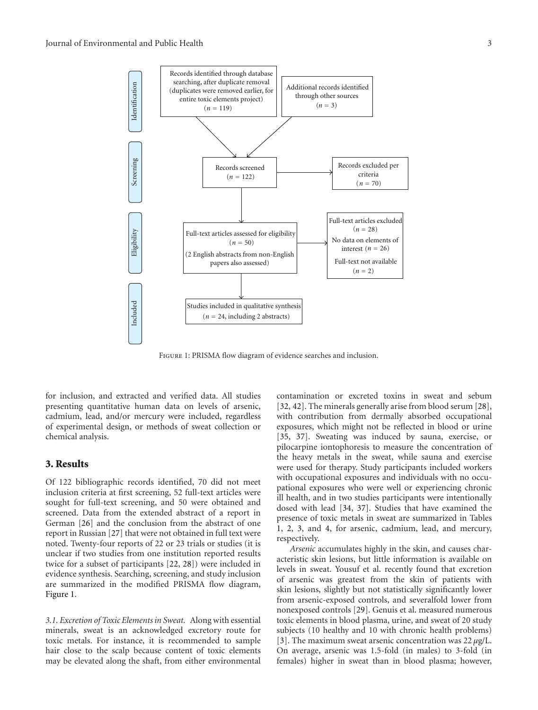

<span id="page-2-0"></span>Figure 1: PRISMA flow diagram of evidence searches and inclusion.

for inclusion, and extracted and verified data. All studies presenting quantitative human data on levels of arsenic, cadmium, lead, and/or mercury were included, regardless of experimental design, or methods of sweat collection or chemical analysis.

#### **3. Results**

Of 122 bibliographic records identified, 70 did not meet inclusion criteria at first screening, 52 full-text articles were sought for full-text screening, and 50 were obtained and screened. Data from the extended abstract of a report in German [\[26](#page-8-24)] and the conclusion from the abstract of one report in Russian [\[27\]](#page-8-25) that were not obtained in full text were noted. Twenty-four reports of 22 or 23 trials or studies (it is unclear if two studies from one institution reported results twice for a subset of participants [\[22,](#page-8-20) [28\]](#page-8-26)) were included in evidence synthesis. Searching, screening, and study inclusion are summarized in the modified PRISMA flow diagram, [Figure 1.](#page-2-0)

*3.1. Excretion of Toxic Elements in Sweat.* Along with essential minerals, sweat is an acknowledged excretory route for toxic metals. For instance, it is recommended to sample hair close to the scalp because content of toxic elements may be elevated along the shaft, from either environmental contamination or excreted toxins in sweat and sebum [\[32,](#page-8-27) [42](#page-9-0)]. The minerals generally arise from blood serum [\[28\]](#page-8-26), with contribution from dermally absorbed occupational exposures, which might not be reflected in blood or urine [\[35,](#page-8-28) [37](#page-9-1)]. Sweating was induced by sauna, exercise, or pilocarpine iontophoresis to measure the concentration of the heavy metals in the sweat, while sauna and exercise were used for therapy. Study participants included workers with occupational exposures and individuals with no occupational exposures who were well or experiencing chronic ill health, and in two studies participants were intentionally dosed with lead [\[34,](#page-8-29) [37\]](#page-9-1). Studies that have examined the presence of toxic metals in sweat are summarized in Tables [1,](#page-3-0) [2,](#page-3-1) [3,](#page-4-0) and [4,](#page-5-0) for arsenic, cadmium, lead, and mercury, respectively.

*Arsenic* accumulates highly in the skin, and causes characteristic skin lesions, but little information is available on levels in sweat. Yousuf et al. recently found that excretion of arsenic was greatest from the skin of patients with skin lesions, slightly but not statistically significantly lower from arsenic-exposed controls, and severalfold lower from nonexposed controls [\[29](#page-8-30)]. Genuis et al. measured numerous toxic elements in blood plasma, urine, and sweat of 20 study subjects (10 healthy and 10 with chronic health problems) [\[3](#page-8-3)]. The maximum sweat arsenic concentration was 22 *µ*g/L. On average, arsenic was 1.5-fold (in males) to 3-fold (in females) higher in sweat than in blood plasma; however,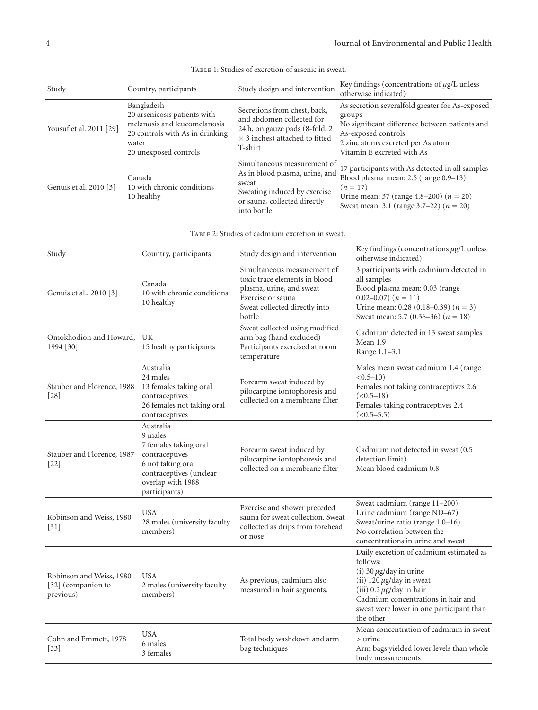| Study                   | Country, participants                                                                                                                           | Study design and intervention                                                                                                                         | Key findings (concentrations of $\mu$ g/L unless<br>otherwise indicated)                                                                                                                              |
|-------------------------|-------------------------------------------------------------------------------------------------------------------------------------------------|-------------------------------------------------------------------------------------------------------------------------------------------------------|-------------------------------------------------------------------------------------------------------------------------------------------------------------------------------------------------------|
| Yousuf et al. 2011 [29] | Bangladesh<br>20 arsenicosis patients with<br>melanosis and leucomelanosis<br>20 controls with As in drinking<br>water<br>20 unexposed controls | Secretions from chest, back,<br>and abdomen collected for<br>24 h, on gauze pads (8-fold; 2<br>$\times$ 3 inches) attached to fitted<br>T-shirt       | As secretion severalfold greater for As-exposed<br>groups<br>No significant difference between patients and<br>As-exposed controls<br>2 zinc atoms excreted per As atom<br>Vitamin E excreted with As |
| Genuis et al. 2010 [3]  | Canada<br>10 with chronic conditions<br>10 healthy                                                                                              | Simultaneous measurement of<br>As in blood plasma, urine, and<br>sweat<br>Sweating induced by exercise<br>or sauna, collected directly<br>into bottle | 17 participants with As detected in all samples<br>Blood plasma mean: 2.5 (range 0.9-13)<br>$(n = 17)$<br>Urine mean: 37 (range 4.8–200) ( $n = 20$ )<br>Sweat mean: 3.1 (range 3.7–22) ( $n = 20$ )  |

<span id="page-3-0"></span>TABLE 1: Studies of excretion of arsenic in sweat.

<span id="page-3-1"></span>Table 2: Studies of cadmium excretion in sweat.

| Study                                                       | Country, participants                                                                                                                                 | Study design and intervention                                                                                                                            | Key findings (concentrations $\mu$ g/L unless<br>otherwise indicated)                                                                                                                                                                                  |
|-------------------------------------------------------------|-------------------------------------------------------------------------------------------------------------------------------------------------------|----------------------------------------------------------------------------------------------------------------------------------------------------------|--------------------------------------------------------------------------------------------------------------------------------------------------------------------------------------------------------------------------------------------------------|
| Genuis et al., 2010 [3]                                     | Canada<br>10 with chronic conditions<br>10 healthy                                                                                                    | Simultaneous measurement of<br>toxic trace elements in blood<br>plasma, urine, and sweat<br>Exercise or sauna<br>Sweat collected directly into<br>bottle | 3 participants with cadmium detected in<br>all samples<br>Blood plasma mean: 0.03 (range<br>$0.02-0.07$ $(n = 11)$<br>Urine mean: 0.28 (0.18–0.39) ( $n = 3$ )<br>Sweat mean: 5.7 (0.36–36) ( $n = 18$ )                                               |
| Omokhodion and Howard, UK<br>1994 [30]                      | 15 healthy participants                                                                                                                               | Sweat collected using modified<br>arm bag (hand excluded)<br>Participants exercised at room<br>temperature                                               | Cadmium detected in 13 sweat samples<br>Mean 1.9<br>Range 1.1-3.1                                                                                                                                                                                      |
| Stauber and Florence, 1988<br>$\left[28\right]$             | Australia<br>24 males<br>13 females taking oral<br>contraceptives<br>26 females not taking oral<br>contraceptives                                     | Forearm sweat induced by<br>pilocarpine iontophoresis and<br>collected on a membrane filter                                                              | Males mean sweat cadmium 1.4 (range<br>$< 0.5 - 10$ )<br>Females not taking contraceptives 2.6<br>$(<0.5-18)$<br>Females taking contraceptives 2.4<br>$(<0.5-5.5)$                                                                                     |
| Stauber and Florence, 1987<br>$[22]$                        | Australia<br>9 males<br>7 females taking oral<br>contraceptives<br>6 not taking oral<br>contraceptives (unclear<br>overlap with 1988<br>participants) | Forearm sweat induced by<br>pilocarpine iontophoresis and<br>collected on a membrane filter                                                              | Cadmium not detected in sweat (0.5<br>detection limit)<br>Mean blood cadmium 0.8                                                                                                                                                                       |
| Robinson and Weiss, 1980<br>$\left[31\right]$               | <b>USA</b><br>28 males (university faculty<br>members)                                                                                                | Exercise and shower preceded<br>sauna for sweat collection. Sweat<br>collected as drips from forehead<br>or nose                                         | Sweat cadmium (range 11-200)<br>Urine cadmium (range ND-67)<br>Sweat/urine ratio (range 1.0-16)<br>No correlation between the<br>concentrations in urine and sweat                                                                                     |
| Robinson and Weiss, 1980<br>[32] (companion to<br>previous) | <b>USA</b><br>2 males (university faculty<br>members)                                                                                                 | As previous, cadmium also<br>measured in hair segments.                                                                                                  | Daily excretion of cadmium estimated as<br>follows:<br>(i) $30 \mu g$ /day in urine<br>(ii) $120 \mu g/day$ in sweat<br>$(iii)$ 0.2 $\mu$ g/day in hair<br>Cadmium concentrations in hair and<br>sweat were lower in one participant than<br>the other |
| Cohn and Emmett, 1978<br>$[33]$                             | <b>USA</b><br>6 males<br>3 females                                                                                                                    | Total body washdown and arm<br>bag techniques                                                                                                            | Mean concentration of cadmium in sweat<br>$>$ urine<br>Arm bags yielded lower levels than whole<br>body measurements                                                                                                                                   |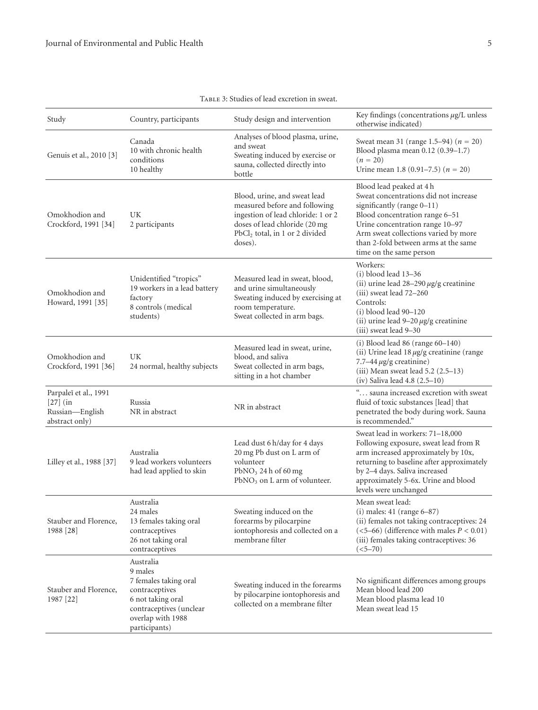| Study                                                                    | Country, participants                                                                                                                                 | Study design and intervention                                                                                                                                                                 | Key findings (concentrations $\mu$ g/L unless<br>otherwise indicated)                                                                                                                                                                                                           |
|--------------------------------------------------------------------------|-------------------------------------------------------------------------------------------------------------------------------------------------------|-----------------------------------------------------------------------------------------------------------------------------------------------------------------------------------------------|---------------------------------------------------------------------------------------------------------------------------------------------------------------------------------------------------------------------------------------------------------------------------------|
| Genuis et al., 2010 [3]                                                  | Canada<br>10 with chronic health<br>conditions<br>10 healthy                                                                                          | Analyses of blood plasma, urine,<br>and sweat<br>Sweating induced by exercise or<br>sauna, collected directly into<br>bottle                                                                  | Sweat mean 31 (range 1.5–94) ( $n = 20$ )<br>Blood plasma mean 0.12 (0.39-1.7)<br>$(n = 20)$<br>Urine mean 1.8 $(0.91-7.5)$ $(n = 20)$                                                                                                                                          |
| Omokhodion and<br>Crockford, 1991 [34]                                   | UK<br>2 participants                                                                                                                                  | Blood, urine, and sweat lead<br>measured before and following<br>ingestion of lead chloride: 1 or 2<br>doses of lead chloride (20 mg<br>PbCl <sub>2</sub> total, in 1 or 2 divided<br>doses). | Blood lead peaked at 4 h<br>Sweat concentrations did not increase<br>significantly (range 0-11)<br>Blood concentration range 6-51<br>Urine concentration range 10-97<br>Arm sweat collections varied by more<br>than 2-fold between arms at the same<br>time on the same person |
| Omokhodion and<br>Howard, 1991 [35]                                      | Unidentified "tropics"<br>19 workers in a lead battery<br>factory<br>8 controls (medical<br>students)                                                 | Measured lead in sweat, blood,<br>and urine simultaneously<br>Sweating induced by exercising at<br>room temperature.<br>Sweat collected in arm bags.                                          | Workers:<br>(i) blood lead 13-36<br>(ii) urine lead $28-290 \mu g/g$ creatinine<br>(iii) sweat lead 72-260<br>Controls:<br>(i) blood lead 90-120<br>(ii) urine lead $9-20 \mu g/g$ creatinine<br>(iii) sweat lead 9-30                                                          |
| Omokhodion and<br>Crockford, 1991 <sup>[36]</sup>                        | UK<br>24 normal, healthy subjects                                                                                                                     | Measured lead in sweat, urine,<br>blood, and saliva<br>Sweat collected in arm bags,<br>sitting in a hot chamber                                                                               | $(i)$ Blood lead 86 (range 60-140)<br>(ii) Urine lead $18 \mu g/g$ creatinine (range<br>7.7-44 µg/g creatinine)<br>(iii) Mean sweat lead $5.2$ $(2.5-13)$<br>(iv) Saliva lead 4.8 (2.5-10)                                                                                      |
| Parpaleĭ et al., 1991<br>$[27]$ (in<br>Russian-English<br>abstract only) | Russia<br>NR in abstract                                                                                                                              | NR in abstract                                                                                                                                                                                | " sauna increased excretion with sweat<br>fluid of toxic substances [lead] that<br>penetrated the body during work. Sauna<br>is recommended."                                                                                                                                   |
| Lilley et al., 1988 [37]                                                 | Australia<br>9 lead workers volunteers<br>had lead applied to skin                                                                                    | Lead dust 6 h/day for 4 days<br>20 mg Pb dust on L arm of<br>volunteer<br>PbNO <sub>3</sub> 24 h of 60 mg<br>$PbNO3$ on L arm of volunteer.                                                   | Sweat lead in workers: 71-18,000<br>Following exposure, sweat lead from R<br>arm increased approximately by 10x,<br>returning to baseline after approximately<br>by 2-4 days. Saliva increased<br>approximately 5-6x. Urine and blood<br>levels were unchanged                  |
| Stauber and Florence,<br>1988 [28]                                       | Australia<br>24 males<br>13 females taking oral<br>contraceptives<br>26 not taking oral<br>contraceptives                                             | Sweating induced on the<br>forearms by pilocarpine<br>iontophoresis and collected on a<br>membrane filter                                                                                     | Mean sweat lead:<br>$(i)$ males: 41 (range 6–87)<br>(ii) females not taking contraceptives: 24<br>$(<5-66)$ (difference with males $P < 0.01$ )<br>(iii) females taking contraceptives: 36<br>( <b>5</b> –70)                                                                   |
| Stauber and Florence,<br>1987 [22]                                       | Australia<br>9 males<br>7 females taking oral<br>contraceptives<br>6 not taking oral<br>contraceptives (unclear<br>overlap with 1988<br>participants) | Sweating induced in the forearms<br>by pilocarpine iontophoresis and<br>collected on a membrane filter                                                                                        | No significant differences among groups<br>Mean blood lead 200<br>Mean blood plasma lead 10<br>Mean sweat lead 15                                                                                                                                                               |

# <span id="page-4-0"></span>TABLE 3: Studies of lead excretion in sweat.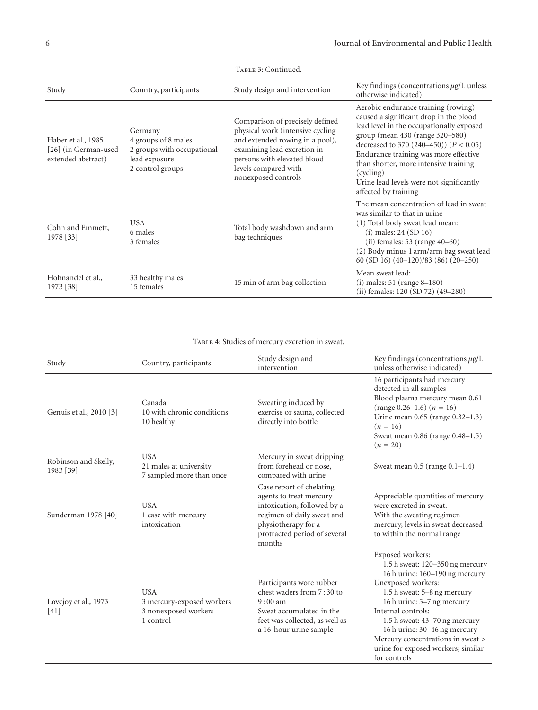| Study                                                            | Country, participants                                                                             | Study design and intervention                                                                                                                                                                                       | Key findings (concentrations $\mu$ g/L unless<br>otherwise indicated)                                                                                                                                                                                                                                                                                                         |
|------------------------------------------------------------------|---------------------------------------------------------------------------------------------------|---------------------------------------------------------------------------------------------------------------------------------------------------------------------------------------------------------------------|-------------------------------------------------------------------------------------------------------------------------------------------------------------------------------------------------------------------------------------------------------------------------------------------------------------------------------------------------------------------------------|
| Haber et al., 1985<br>[26] (in German-used<br>extended abstract) | Germany<br>4 groups of 8 males<br>2 groups with occupational<br>lead exposure<br>2 control groups | Comparison of precisely defined<br>physical work (intensive cycling<br>and extended rowing in a pool),<br>examining lead excretion in<br>persons with elevated blood<br>levels compared with<br>nonexposed controls | Aerobic endurance training (rowing)<br>caused a significant drop in the blood<br>lead level in the occupationally exposed<br>group (mean 430 (range 320-580)<br>decreased to 370 (240–450)) ( $P < 0.05$ )<br>Endurance training was more effective<br>than shorter, more intensive training<br>(cycling)<br>Urine lead levels were not significantly<br>affected by training |
| Cohn and Emmett,<br>1978 [33]                                    | <b>USA</b><br>6 males<br>3 females                                                                | Total body washdown and arm<br>bag techniques                                                                                                                                                                       | The mean concentration of lead in sweat<br>was similar to that in urine<br>(1) Total body sweat lead mean:<br>$(i)$ males: 24 (SD 16)<br>$(ii)$ females: 53 (range 40–60)<br>(2) Body minus 1 arm/arm bag sweat lead<br>60 (SD 16) (40-120)/83 (86) (20-250)                                                                                                                  |
| Hohnandel et al.,<br>1973 [38]                                   | 33 healthy males<br>15 females                                                                    | 15 min of arm bag collection                                                                                                                                                                                        | Mean sweat lead:<br>$(i)$ males: 51 (range 8-180)<br>(ii) females: 120 (SD 72) (49-280)                                                                                                                                                                                                                                                                                       |

TABLE 3: Continued.

# <span id="page-5-0"></span>Table 4: Studies of mercury excretion in sweat.

| Study                             | Country, participants                                                        | Study design and<br>intervention                                                                                                                                                  | Key findings (concentrations $\mu$ g/L<br>unless otherwise indicated)                                                                                                                                                                                                                                                                                      |
|-----------------------------------|------------------------------------------------------------------------------|-----------------------------------------------------------------------------------------------------------------------------------------------------------------------------------|------------------------------------------------------------------------------------------------------------------------------------------------------------------------------------------------------------------------------------------------------------------------------------------------------------------------------------------------------------|
| Genuis et al., 2010 [3]           | Canada<br>10 with chronic conditions<br>10 healthy                           | Sweating induced by<br>exercise or sauna, collected<br>directly into bottle                                                                                                       | 16 participants had mercury<br>detected in all samples<br>Blood plasma mercury mean 0.61<br>(range 0.26–1.6) $(n = 16)$<br>Urine mean 0.65 (range 0.32-1.3)<br>$(n = 16)$<br>Sweat mean 0.86 (range 0.48-1.5)<br>$(n = 20)$                                                                                                                                |
| Robinson and Skelly,<br>1983 [39] | <b>USA</b><br>21 males at university<br>7 sampled more than once             | Mercury in sweat dripping<br>from forehead or nose,<br>compared with urine                                                                                                        | Sweat mean $0.5$ (range $0.1-1.4$ )                                                                                                                                                                                                                                                                                                                        |
| Sunderman 1978 [40]               | <b>USA</b><br>1 case with mercury<br>intoxication                            | Case report of chelating<br>agents to treat mercury<br>intoxication, followed by a<br>regimen of daily sweat and<br>physiotherapy for a<br>protracted period of several<br>months | Appreciable quantities of mercury<br>were excreted in sweat.<br>With the sweating regimen<br>mercury, levels in sweat decreased<br>to within the normal range                                                                                                                                                                                              |
| Lovejoy et al., 1973<br>[41]      | <b>USA</b><br>3 mercury-exposed workers<br>3 nonexposed workers<br>1 control | Participants wore rubber<br>chest waders from 7:30 to<br>$9:00$ am<br>Sweat accumulated in the<br>feet was collected, as well as<br>a 16-hour urine sample                        | Exposed workers:<br>1.5 h sweat: 120-350 ng mercury<br>16 h urine: 160-190 ng mercury<br>Unexposed workers:<br>1.5 h sweat: 5-8 ng mercury<br>16 h urine: 5-7 ng mercury<br>Internal controls:<br>1.5 h sweat: 43-70 ng mercury<br>16 h urine: 30-46 ng mercury<br>Mercury concentrations in sweat ><br>urine for exposed workers; similar<br>for controls |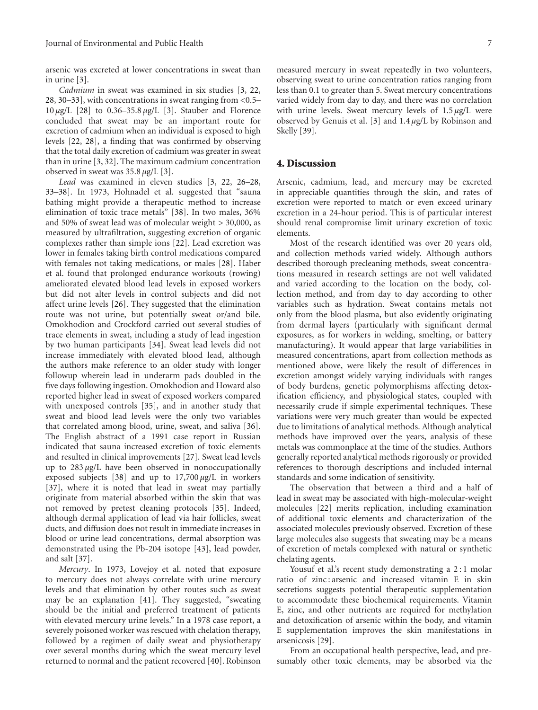arsenic was excreted at lower concentrations in sweat than in urine [\[3](#page-8-3)].

*Cadmium* in sweat was examined in six studies [\[3,](#page-8-3) [22,](#page-8-20) [28](#page-8-26), [30](#page-8-31)[–33\]](#page-8-33), with concentrations in sweat ranging from *<*0.5– 10 *µ*g/L [\[28](#page-8-26)] to 0.36–35.8 *µ*g/L [\[3\]](#page-8-3). Stauber and Florence concluded that sweat may be an important route for excretion of cadmium when an individual is exposed to high levels [\[22](#page-8-20), [28\]](#page-8-26), a finding that was confirmed by observing that the total daily excretion of cadmium was greater in sweat than in urine [\[3](#page-8-3), [32](#page-8-27)]. The maximum cadmium concentration observed in sweat was 35.8 *µ*g/L [\[3](#page-8-3)].

*Lead* was examined in eleven studies [\[3](#page-8-3), [22,](#page-8-20) [26](#page-8-24)[–28,](#page-8-26) [33](#page-8-33)[–38\]](#page-9-3). In 1973, Hohnadel et al. suggested that "sauna bathing might provide a therapeutic method to increase elimination of toxic trace metals" [\[38](#page-9-3)]. In two males, 36% and 50% of sweat lead was of molecular weight *>* 30,000, as measured by ultrafiltration, suggesting excretion of organic complexes rather than simple ions [\[22\]](#page-8-20). Lead excretion was lower in females taking birth control medications compared with females not taking medications, or males [\[28\]](#page-8-26). Haber et al. found that prolonged endurance workouts (rowing) ameliorated elevated blood lead levels in exposed workers but did not alter levels in control subjects and did not affect urine levels [\[26](#page-8-24)]. They suggested that the elimination route was not urine, but potentially sweat or/and bile. Omokhodion and Crockford carried out several studies of trace elements in sweat, including a study of lead ingestion by two human participants [\[34](#page-8-29)]. Sweat lead levels did not increase immediately with elevated blood lead, although the authors make reference to an older study with longer followup wherein lead in underarm pads doubled in the five days following ingestion. Omokhodion and Howard also reported higher lead in sweat of exposed workers compared with unexposed controls [\[35\]](#page-8-28), and in another study that sweat and blood lead levels were the only two variables that correlated among blood, urine, sweat, and saliva [\[36\]](#page-9-2). The English abstract of a 1991 case report in Russian indicated that sauna increased excretion of toxic elements and resulted in clinical improvements [\[27\]](#page-8-25). Sweat lead levels up to 283 *µ*g/L have been observed in nonoccupationally exposed subjects [\[38\]](#page-9-3) and up to 17,700 *µ*g/L in workers [\[37\]](#page-9-1), where it is noted that lead in sweat may partially originate from material absorbed within the skin that was not removed by pretest cleaning protocols [\[35\]](#page-8-28). Indeed, although dermal application of lead via hair follicles, sweat ducts, and diffusion does not result in immediate increases in blood or urine lead concentrations, dermal absorption was demonstrated using the Pb-204 isotope [\[43](#page-9-7)], lead powder, and salt [\[37](#page-9-1)].

*Mercury*. In 1973, Lovejoy et al. noted that exposure to mercury does not always correlate with urine mercury levels and that elimination by other routes such as sweat may be an explanation [\[41](#page-9-6)]. They suggested, "sweating should be the initial and preferred treatment of patients with elevated mercury urine levels." In a 1978 case report, a severely poisoned worker was rescued with chelation therapy, followed by a regimen of daily sweat and physiotherapy over several months during which the sweat mercury level returned to normal and the patient recovered [\[40](#page-9-5)]. Robinson

measured mercury in sweat repeatedly in two volunteers, observing sweat to urine concentration ratios ranging from less than 0.1 to greater than 5. Sweat mercury concentrations varied widely from day to day, and there was no correlation with urine levels. Sweat mercury levels of 1.5 *µ*g/L were observed by Genuis et al. [\[3](#page-8-3)] and 1.4 *µ*g/L by Robinson and Skelly [\[39](#page-9-4)].

#### **4. Discussion**

Arsenic, cadmium, lead, and mercury may be excreted in appreciable quantities through the skin, and rates of excretion were reported to match or even exceed urinary excretion in a 24-hour period. This is of particular interest should renal compromise limit urinary excretion of toxic elements.

Most of the research identified was over 20 years old, and collection methods varied widely. Although authors described thorough precleaning methods, sweat concentrations measured in research settings are not well validated and varied according to the location on the body, collection method, and from day to day according to other variables such as hydration. Sweat contains metals not only from the blood plasma, but also evidently originating from dermal layers (particularly with significant dermal exposures, as for workers in welding, smelting, or battery manufacturing). It would appear that large variabilities in measured concentrations, apart from collection methods as mentioned above, were likely the result of differences in excretion amongst widely varying individuals with ranges of body burdens, genetic polymorphisms affecting detoxification efficiency, and physiological states, coupled with necessarily crude if simple experimental techniques. These variations were very much greater than would be expected due to limitations of analytical methods. Although analytical methods have improved over the years, analysis of these metals was commonplace at the time of the studies. Authors generally reported analytical methods rigorously or provided references to thorough descriptions and included internal standards and some indication of sensitivity.

The observation that between a third and a half of lead in sweat may be associated with high-molecular-weight molecules [\[22\]](#page-8-20) merits replication, including examination of additional toxic elements and characterization of the associated molecules previously observed. Excretion of these large molecules also suggests that sweating may be a means of excretion of metals complexed with natural or synthetic chelating agents.

Yousuf et al.'s recent study demonstrating a 2:1 molar ratio of zinc : arsenic and increased vitamin E in skin secretions suggests potential therapeutic supplementation to accommodate these biochemical requirements. Vitamin E, zinc, and other nutrients are required for methylation and detoxification of arsenic within the body, and vitamin E supplementation improves the skin manifestations in arsenicosis [\[29\]](#page-8-30).

From an occupational health perspective, lead, and presumably other toxic elements, may be absorbed via the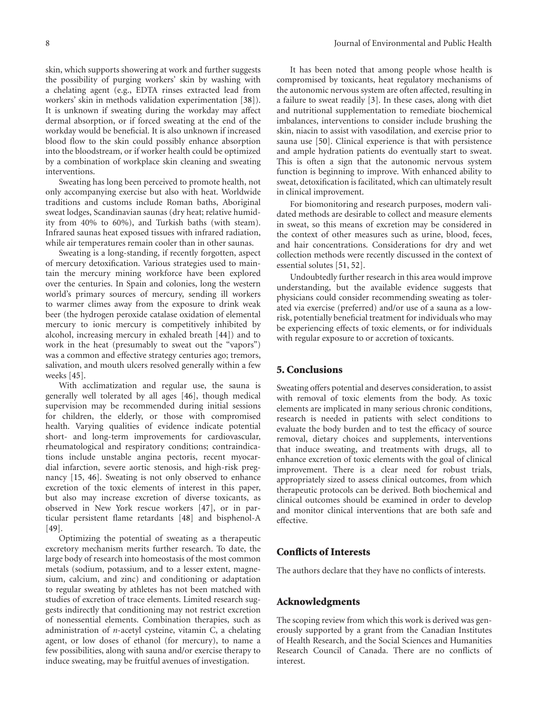skin, which supports showering at work and further suggests the possibility of purging workers' skin by washing with a chelating agent (e.g., EDTA rinses extracted lead from workers' skin in methods validation experimentation [\[38](#page-9-3)]). It is unknown if sweating during the workday may affect dermal absorption, or if forced sweating at the end of the workday would be beneficial. It is also unknown if increased blood flow to the skin could possibly enhance absorption into the bloodstream, or if worker health could be optimized by a combination of workplace skin cleaning and sweating interventions.

Sweating has long been perceived to promote health, not only accompanying exercise but also with heat. Worldwide traditions and customs include Roman baths, Aboriginal sweat lodges, Scandinavian saunas (dry heat; relative humidity from 40% to 60%), and Turkish baths (with steam). Infrared saunas heat exposed tissues with infrared radiation, while air temperatures remain cooler than in other saunas.

Sweating is a long-standing, if recently forgotten, aspect of mercury detoxification. Various strategies used to maintain the mercury mining workforce have been explored over the centuries. In Spain and colonies, long the western world's primary sources of mercury, sending ill workers to warmer climes away from the exposure to drink weak beer (the hydrogen peroxide catalase oxidation of elemental mercury to ionic mercury is competitively inhibited by alcohol, increasing mercury in exhaled breath [\[44\]](#page-9-8)) and to work in the heat (presumably to sweat out the "vapors") was a common and effective strategy centuries ago; tremors, salivation, and mouth ulcers resolved generally within a few weeks [\[45\]](#page-9-9).

With acclimatization and regular use, the sauna is generally well tolerated by all ages [\[46](#page-9-10)], though medical supervision may be recommended during initial sessions for children, the elderly, or those with compromised health. Varying qualities of evidence indicate potential short- and long-term improvements for cardiovascular, rheumatological and respiratory conditions; contraindications include unstable angina pectoris, recent myocardial infarction, severe aortic stenosis, and high-risk pregnancy [\[15,](#page-8-13) [46\]](#page-9-10). Sweating is not only observed to enhance excretion of the toxic elements of interest in this paper, but also may increase excretion of diverse toxicants, as observed in New York rescue workers [\[47](#page-9-11)], or in particular persistent flame retardants [\[48](#page-9-12)] and bisphenol-A [\[49\]](#page-9-13).

Optimizing the potential of sweating as a therapeutic excretory mechanism merits further research. To date, the large body of research into homeostasis of the most common metals (sodium, potassium, and to a lesser extent, magnesium, calcium, and zinc) and conditioning or adaptation to regular sweating by athletes has not been matched with studies of excretion of trace elements. Limited research suggests indirectly that conditioning may not restrict excretion of nonessential elements. Combination therapies, such as administration of *n*-acetyl cysteine, vitamin C, a chelating agent, or low doses of ethanol (for mercury), to name a few possibilities, along with sauna and/or exercise therapy to induce sweating, may be fruitful avenues of investigation.

It has been noted that among people whose health is compromised by toxicants, heat regulatory mechanisms of the autonomic nervous system are often affected, resulting in a failure to sweat readily [\[3\]](#page-8-3). In these cases, along with diet and nutritional supplementation to remediate biochemical imbalances, interventions to consider include brushing the skin, niacin to assist with vasodilation, and exercise prior to sauna use [\[50](#page-9-14)]. Clinical experience is that with persistence and ample hydration patients do eventually start to sweat. This is often a sign that the autonomic nervous system function is beginning to improve. With enhanced ability to sweat, detoxification is facilitated, which can ultimately result in clinical improvement.

For biomonitoring and research purposes, modern validated methods are desirable to collect and measure elements in sweat, so this means of excretion may be considered in the context of other measures such as urine, blood, feces, and hair concentrations. Considerations for dry and wet collection methods were recently discussed in the context of essential solutes [\[51](#page-9-15), [52](#page-9-16)].

Undoubtedly further research in this area would improve understanding, but the available evidence suggests that physicians could consider recommending sweating as tolerated via exercise (preferred) and/or use of a sauna as a lowrisk, potentially beneficial treatment for individuals who may be experiencing effects of toxic elements, or for individuals with regular exposure to or accretion of toxicants.

### **5. Conclusions**

Sweating offers potential and deserves consideration, to assist with removal of toxic elements from the body. As toxic elements are implicated in many serious chronic conditions, research is needed in patients with select conditions to evaluate the body burden and to test the efficacy of source removal, dietary choices and supplements, interventions that induce sweating, and treatments with drugs, all to enhance excretion of toxic elements with the goal of clinical improvement. There is a clear need for robust trials, appropriately sized to assess clinical outcomes, from which therapeutic protocols can be derived. Both biochemical and clinical outcomes should be examined in order to develop and monitor clinical interventions that are both safe and effective.

# **Conflicts of Interests**

The authors declare that they have no conflicts of interests.

#### **Acknowledgments**

The scoping review from which this work is derived was generously supported by a grant from the Canadian Institutes of Health Research, and the Social Sciences and Humanities Research Council of Canada. There are no conflicts of interest.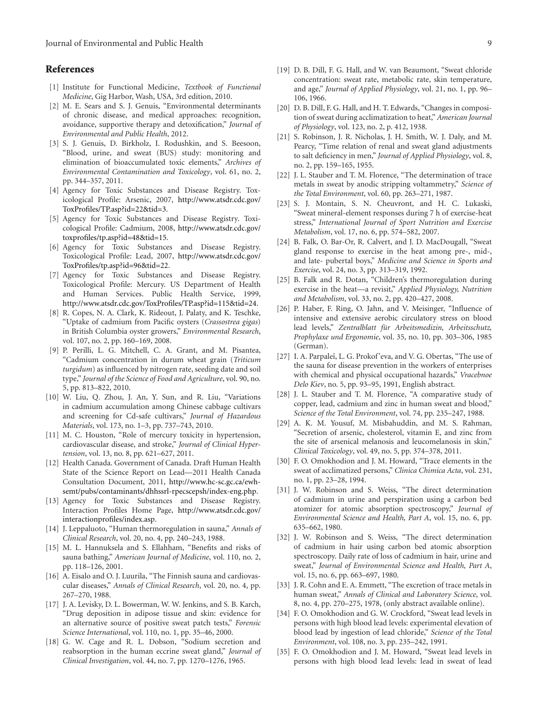#### <span id="page-8-0"></span>**References**

- <span id="page-8-1"></span>[1] Institute for Functional Medicine, *Textbook of Functional Medicine*, Gig Harbor, Wash, USA, 3rd edition, 2010.
- <span id="page-8-2"></span>[2] M. E. Sears and S. J. Genuis, "Environmental determinants of chronic disease, and medical approaches: recognition, avoidance, supportive therapy and detoxification," *Journal of Environmental and Public Health*, 2012.
- <span id="page-8-3"></span>[3] S. J. Genuis, D. Birkholz, I. Rodushkin, and S. Beesoon, "Blood, urine, and sweat (BUS) study: monitoring and elimination of bioaccumulated toxic elements," *Archives of Environmental Contamination and Toxicology*, vol. 61, no. 2, pp. 344–357, 2011.
- <span id="page-8-4"></span>[4] Agency for Toxic Substances and Disease Registry. Toxicological Profile: Arsenic, 2007, [http://www.atsdr.cdc.gov/](http://www.atsdr.cdc.gov/ToxProfiles/TP.asp?id=22&tid=3) [ToxProfiles/TP.asp?id](http://www.atsdr.cdc.gov/ToxProfiles/TP.asp?id=22&tid=3)=22&tid=3.
- [5] Agency for Toxic Substances and Disease Registry. Toxicological Profile: Cadmium, 2008, [http://www.atsdr.cdc.gov/](http://www.atsdr.cdc.gov/toxprofiles/tp.asp?id=48&tid=15) [toxprofiles/tp.asp?id](http://www.atsdr.cdc.gov/toxprofiles/tp.asp?id=48&tid=15)=48&tid=15.
- [6] Agency for Toxic Substances and Disease Registry. Toxicological Profile: Lead, 2007, [http://www.atsdr.cdc.gov/](http://www.atsdr.cdc.gov/ToxProfiles/tp.asp?id=96&tid=22) [ToxProfiles/tp.asp?id](http://www.atsdr.cdc.gov/ToxProfiles/tp.asp?id=96&tid=22)=96&tid=22.
- <span id="page-8-5"></span>[7] Agency for Toxic Substances and Disease Registry. Toxicological Profile: Mercury. US Department of Health and Human Services. Public Health Service, 1999, [http://www.atsdr.cdc.gov/ToxProfiles/TP.asp?id](http://www.atsdr.cdc.gov/ToxProfiles/TP.asp?id=115&tid=24)=115&tid=24.
- <span id="page-8-6"></span>[8] R. Copes, N. A. Clark, K. Rideout, J. Palaty, and K. Teschke, "Uptake of cadmium from Pacific oysters (*Crassostrea gigas*) in British Columbia oyster growers," *Environmental Research*, vol. 107, no. 2, pp. 160–169, 2008.
- <span id="page-8-7"></span>[9] P. Perilli, L. G. Mitchell, C. A. Grant, and M. Pisantea, "Cadmium concentration in durum wheat grain (*Triticum turgidum*) as influenced by nitrogen rate, seeding date and soil type," *Journal of the Science of Food and Agriculture*, vol. 90, no. 5, pp. 813–822, 2010.
- <span id="page-8-8"></span>[10] W. Liu, Q. Zhou, J. An, Y. Sun, and R. Liu, "Variations in cadmium accumulation among Chinese cabbage cultivars and screening for Cd-safe cultivars," *Journal of Hazardous Materials*, vol. 173, no. 1–3, pp. 737–743, 2010.
- <span id="page-8-9"></span>[11] M. C. Houston, "Role of mercury toxicity in hypertension, cardiovascular disease, and stroke," *Journal of Clinical Hypertension*, vol. 13, no. 8, pp. 621–627, 2011.
- <span id="page-8-10"></span>[12] Health Canada. Government of Canada. Draft Human Health State of the Science Report on Lead—2011 Health Canada Consultation Document, 2011, [http://www.hc-sc.gc.ca/ewh](http://www.hc-sc.gc.ca/ewh-semt/pubs/contaminants/dhhssrl-rpecscepsh/index-eng.php)[semt/pubs/contaminants/dhhssrl-rpecscepsh/index-eng.php.](http://www.hc-sc.gc.ca/ewh-semt/pubs/contaminants/dhhssrl-rpecscepsh/index-eng.php)
- <span id="page-8-11"></span>[13] Agency for Toxic Substances and Disease Registry. Interaction Profiles Home Page, [http://www.atsdr.cdc.gov/](http://www.atsdr.cdc.gov/interactionprofiles/index.asp) [interactionprofiles/index.asp.](http://www.atsdr.cdc.gov/interactionprofiles/index.asp)
- <span id="page-8-12"></span>[14] J. Leppaluoto, "Human thermoregulation in sauna," *Annals of Clinical Research*, vol. 20, no. 4, pp. 240–243, 1988.
- <span id="page-8-13"></span>[15] M. L. Hannuksela and S. Ellahham, "Benefits and risks of sauna bathing," *American Journal of Medicine*, vol. 110, no. 2, pp. 118–126, 2001.
- <span id="page-8-14"></span>[16] A. Eisalo and O. J. Luurila, "The Finnish sauna and cardiovascular diseases," *Annals of Clinical Research*, vol. 20, no. 4, pp. 267–270, 1988.
- <span id="page-8-15"></span>[17] J. A. Levisky, D. L. Bowerman, W. W. Jenkins, and S. B. Karch, "Drug deposition in adipose tissue and skin: evidence for an alternative source of positive sweat patch tests," *Forensic Science International*, vol. 110, no. 1, pp. 35–46, 2000.
- <span id="page-8-16"></span>[18] G. W. Cage and R. L. Dobson, "Sodium secretion and reabsorption in the human eccrine sweat gland," *Journal of Clinical Investigation*, vol. 44, no. 7, pp. 1270–1276, 1965.
- <span id="page-8-17"></span>[19] D. B. Dill, F. G. Hall, and W. van Beaumont, "Sweat chloride concentration: sweat rate, metabolic rate, skin temperature, and age," *Journal of Applied Physiology*, vol. 21, no. 1, pp. 96– 106, 1966.
- <span id="page-8-18"></span>[20] D. B. Dill, F. G. Hall, and H. T. Edwards, "Changes in composition of sweat during acclimatization to heat," *American Journal of Physiology*, vol. 123, no. 2, p. 412, 1938.
- <span id="page-8-19"></span>[21] S. Robinson, J. R. Nicholas, J. H. Smith, W. J. Daly, and M. Pearcy, "Time relation of renal and sweat gland adjustments to salt deficiency in men," *Journal of Applied Physiology*, vol. 8, no. 2, pp. 159–165, 1955.
- <span id="page-8-20"></span>[22] J. L. Stauber and T. M. Florence, "The determination of trace metals in sweat by anodic stripping voltammetry," *Science of the Total Environment*, vol. 60, pp. 263–271, 1987.
- <span id="page-8-21"></span>[23] S. J. Montain, S. N. Cheuvront, and H. C. Lukaski, "Sweat mineral-element responses during 7 h of exercise-heat stress," *International Journal of Sport Nutrition and Exercise Metabolism*, vol. 17, no. 6, pp. 574–582, 2007.
- <span id="page-8-22"></span>[24] B. Falk, O. Bar-Or, R. Calvert, and J. D. MacDougall, "Sweat gland response to exercise in the heat among pre-, mid-, and late- pubertal boys," *Medicine and Science in Sports and Exercise*, vol. 24, no. 3, pp. 313–319, 1992.
- <span id="page-8-23"></span>[25] B. Falk and R. Dotan, "Children's thermoregulation during exercise in the heat—a revisit," *Applied Physiology, Nutrition and Metabolism*, vol. 33, no. 2, pp. 420–427, 2008.
- <span id="page-8-24"></span>[26] P. Haber, F. Ring, O. Jahn, and V. Meisinger, "Influence of intensive and extensive aerobic circulatory stress on blood lead levels," *Zentralblatt für Arbeitsmedizin*, Arbeitsschutz, *Prophylaxe und Ergonomie*, vol. 35, no. 10, pp. 303–306, 1985 (German).
- <span id="page-8-25"></span>[27] I. A. Parpaleĭ, L. G. Prokof'eva, and V. G. Obertas, "The use of the sauna for disease prevention in the workers of enterprises with chemical and physical occupational hazards," *Vracebnoe Delo Kiev*, no. 5, pp. 93–95, 1991, English abstract.
- <span id="page-8-26"></span>[28] J. L. Stauber and T. M. Florence, "A comparative study of copper, lead, cadmium and zinc in human sweat and blood," *Science of the Total Environment*, vol. 74, pp. 235–247, 1988.
- <span id="page-8-30"></span>[29] A. K. M. Yousuf, M. Misbahuddin, and M. S. Rahman, "Secretion of arsenic, cholesterol, vitamin E, and zinc from the site of arsenical melanosis and leucomelanosis in skin," *Clinical Toxicology*, vol. 49, no. 5, pp. 374–378, 2011.
- <span id="page-8-31"></span>[30] F. O. Omokhodion and J. M. Howard, "Trace elements in the sweat of acclimatized persons," *Clinica Chimica Acta*, vol. 231, no. 1, pp. 23–28, 1994.
- <span id="page-8-32"></span>[31] J. W. Robinson and S. Weiss, "The direct determination of cadmium in urine and perspiration using a carbon bed atomizer for atomic absorption spectroscopy," *Journal of Environmental Science and Health, Part A*, vol. 15, no. 6, pp. 635–662, 1980.
- <span id="page-8-27"></span>[32] J. W. Robinson and S. Weiss, "The direct determination of cadmium in hair using carbon bed atomic absorption spectroscopy. Daily rate of loss of cadmium in hair, urine and sweat," *Journal of Environmental Science and Health, Part A*, vol. 15, no. 6, pp. 663–697, 1980.
- <span id="page-8-33"></span>[33] J. R. Cohn and E. A. Emmett, "The excretion of trace metals in human sweat," *Annals of Clinical and Laboratory Science*, vol. 8, no. 4, pp. 270–275, 1978, (only abstract available online).
- <span id="page-8-29"></span>[34] F. O. Omokhodion and G. W. Crockford, "Sweat lead levels in persons with high blood lead levels: experimental elevation of blood lead by ingestion of lead chloride," *Science of the Total Environment*, vol. 108, no. 3, pp. 235–242, 1991.
- <span id="page-8-28"></span>[35] F. O. Omokhodion and J. M. Howard, "Sweat lead levels in persons with high blood lead levels: lead in sweat of lead